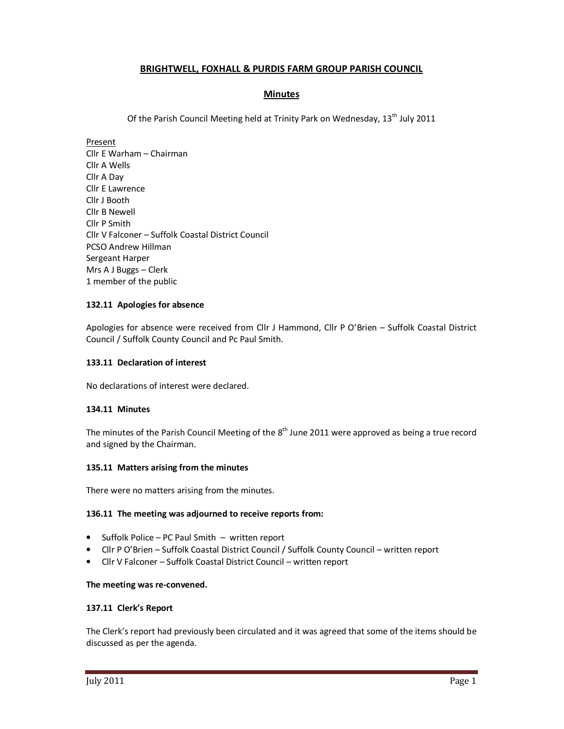## **BRIGHTWELL, FOXHALL & PURDIS FARM GROUP PARISH COUNCIL**

## **Minutes**

Of the Parish Council Meeting held at Trinity Park on Wednesday, 13<sup>th</sup> July 2011

Present Cllr E Warham – Chairman Cllr A Wells Cllr A Day Cllr E Lawrence Cllr J Booth Cllr B Newell Cllr P Smith Cllr V Falconer – Suffolk Coastal District Council PCSO Andrew Hillman Sergeant Harper Mrs A J Buggs – Clerk 1 member of the public

## **132.11 Apologies for absence**

Apologies for absence were received from Cllr J Hammond, Cllr P O'Brien – Suffolk Coastal District Council / Suffolk County Council and Pc Paul Smith.

### **133.11 Declaration of interest**

No declarations of interest were declared.

## **134.11 Minutes**

The minutes of the Parish Council Meeting of the  $8<sup>th</sup>$  June 2011 were approved as being a true record and signed by the Chairman.

### **135.11 Matters arising from the minutes**

There were no matters arising from the minutes.

### **136.11 The meeting was adjourned to receive reports from:**

- Suffolk Police PC Paul Smith written report
- Cllr P O'Brien Suffolk Coastal District Council / Suffolk County Council written report
- Cllr V Falconer Suffolk Coastal District Council written report

### **The meeting was re-convened.**

### **137.11 Clerk's Report**

The Clerk's report had previously been circulated and it was agreed that some of the items should be discussed as per the agenda.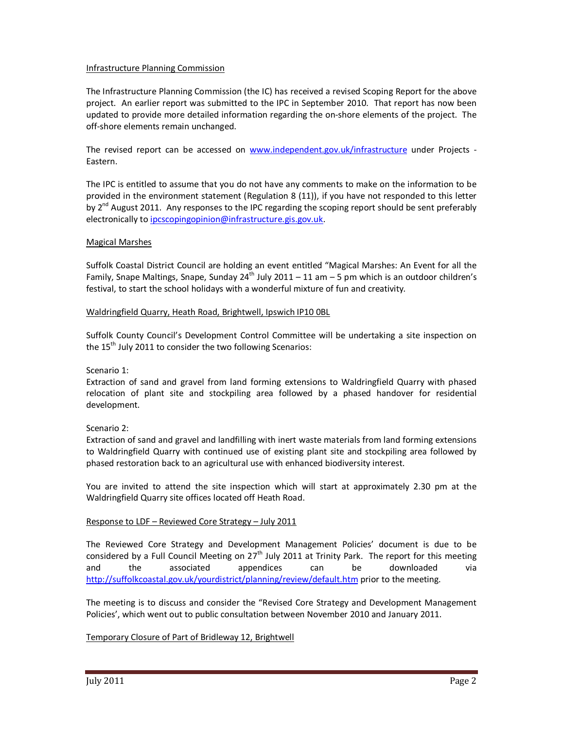### Infrastructure Planning Commission

The Infrastructure Planning Commission (the IC) has received a revised Scoping Report for the above project. An earlier report was submitted to the IPC in September 2010. That report has now been updated to provide more detailed information regarding the on-shore elements of the project. The off-shore elements remain unchanged.

The revised report can be accessed on www.independent.gov.uk/infrastructure under Projects - Eastern.

The IPC is entitled to assume that you do not have any comments to make on the information to be provided in the environment statement (Regulation 8 (11)), if you have not responded to this letter by  $2^{nd}$  August 2011. Any responses to the IPC regarding the scoping report should be sent preferably electronically to ipcscopingopinion@infrastructure.gis.gov.uk.

### Magical Marshes

Suffolk Coastal District Council are holding an event entitled "Magical Marshes: An Event for all the Family, Snape Maltings, Snape, Sunday 24<sup>th</sup> July 2011 – 11 am – 5 pm which is an outdoor children's festival, to start the school holidays with a wonderful mixture of fun and creativity.

### Waldringfield Quarry, Heath Road, Brightwell, Ipswich IP10 0BL

Suffolk County Council's Development Control Committee will be undertaking a site inspection on the  $15<sup>th</sup>$  July 2011 to consider the two following Scenarios:

Scenario 1:

Extraction of sand and gravel from land forming extensions to Waldringfield Quarry with phased relocation of plant site and stockpiling area followed by a phased handover for residential development.

Scenario 2:

Extraction of sand and gravel and landfilling with inert waste materials from land forming extensions to Waldringfield Quarry with continued use of existing plant site and stockpiling area followed by phased restoration back to an agricultural use with enhanced biodiversity interest.

You are invited to attend the site inspection which will start at approximately 2.30 pm at the Waldringfield Quarry site offices located off Heath Road.

## Response to LDF – Reviewed Core Strategy – July 2011

The Reviewed Core Strategy and Development Management Policies' document is due to be considered by a Full Council Meeting on  $27<sup>th</sup>$  July 2011 at Trinity Park. The report for this meeting and the associated appendices can be downloaded via http://suffolkcoastal.gov.uk/yourdistrict/planning/review/default.htm prior to the meeting.

The meeting is to discuss and consider the "Revised Core Strategy and Development Management Policies', which went out to public consultation between November 2010 and January 2011.

Temporary Closure of Part of Bridleway 12, Brightwell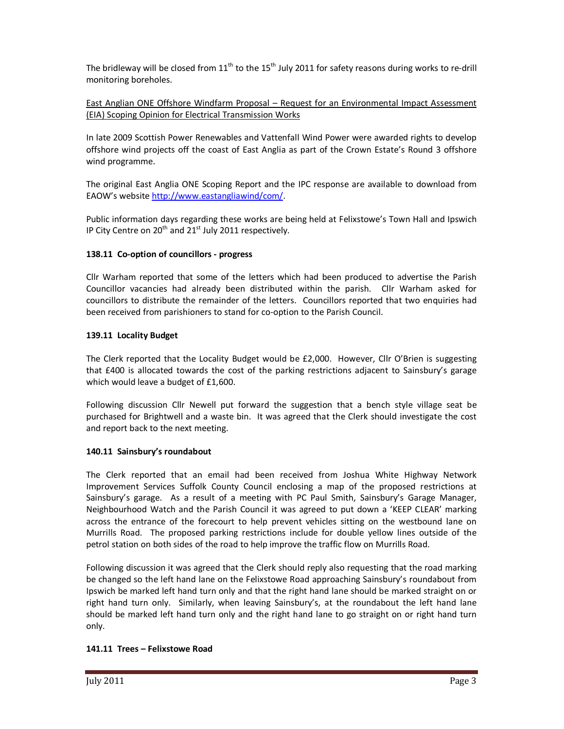The bridleway will be closed from  $11^{th}$  to the  $15^{th}$  July 2011 for safety reasons during works to re-drill monitoring boreholes.

East Anglian ONE Offshore Windfarm Proposal – Request for an Environmental Impact Assessment (EIA) Scoping Opinion for Electrical Transmission Works

In late 2009 Scottish Power Renewables and Vattenfall Wind Power were awarded rights to develop offshore wind projects off the coast of East Anglia as part of the Crown Estate's Round 3 offshore wind programme.

The original East Anglia ONE Scoping Report and the IPC response are available to download from EAOW's website http://www.eastangliawind/com/.

Public information days regarding these works are being held at Felixstowe's Town Hall and Ipswich IP City Centre on  $20^{th}$  and  $21^{st}$  July 2011 respectively.

# **138.11 Co-option of councillors - progress**

Cllr Warham reported that some of the letters which had been produced to advertise the Parish Councillor vacancies had already been distributed within the parish. Cllr Warham asked for councillors to distribute the remainder of the letters. Councillors reported that two enquiries had been received from parishioners to stand for co-option to the Parish Council.

## **139.11 Locality Budget**

The Clerk reported that the Locality Budget would be £2,000. However, Cllr O'Brien is suggesting that £400 is allocated towards the cost of the parking restrictions adjacent to Sainsbury's garage which would leave a budget of £1,600.

Following discussion Cllr Newell put forward the suggestion that a bench style village seat be purchased for Brightwell and a waste bin. It was agreed that the Clerk should investigate the cost and report back to the next meeting.

## **140.11 Sainsbury's roundabout**

The Clerk reported that an email had been received from Joshua White Highway Network Improvement Services Suffolk County Council enclosing a map of the proposed restrictions at Sainsbury's garage. As a result of a meeting with PC Paul Smith, Sainsbury's Garage Manager, Neighbourhood Watch and the Parish Council it was agreed to put down a 'KEEP CLEAR' marking across the entrance of the forecourt to help prevent vehicles sitting on the westbound lane on Murrills Road. The proposed parking restrictions include for double yellow lines outside of the petrol station on both sides of the road to help improve the traffic flow on Murrills Road.

Following discussion it was agreed that the Clerk should reply also requesting that the road marking be changed so the left hand lane on the Felixstowe Road approaching Sainsbury's roundabout from Ipswich be marked left hand turn only and that the right hand lane should be marked straight on or right hand turn only. Similarly, when leaving Sainsbury's, at the roundabout the left hand lane should be marked left hand turn only and the right hand lane to go straight on or right hand turn only.

## **141.11 Trees – Felixstowe Road**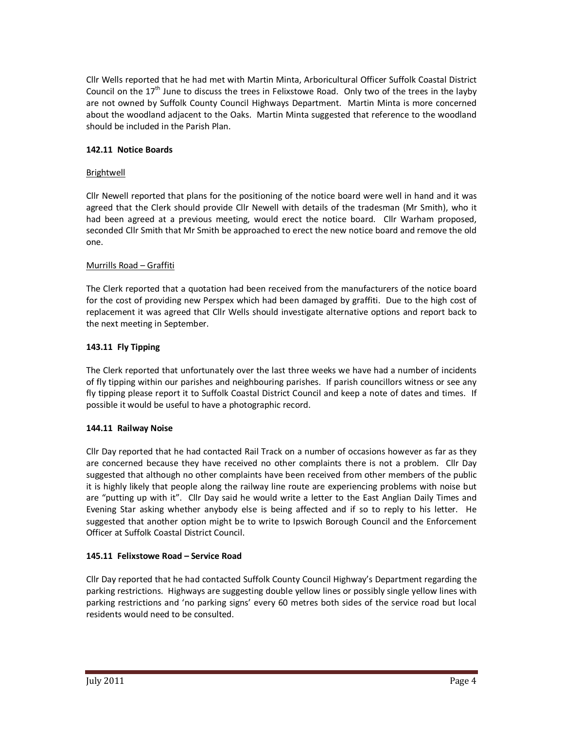Cllr Wells reported that he had met with Martin Minta, Arboricultural Officer Suffolk Coastal District Council on the  $17<sup>th</sup>$  June to discuss the trees in Felixstowe Road. Only two of the trees in the layby are not owned by Suffolk County Council Highways Department. Martin Minta is more concerned about the woodland adjacent to the Oaks. Martin Minta suggested that reference to the woodland should be included in the Parish Plan.

# **142.11 Notice Boards**

# Brightwell

Cllr Newell reported that plans for the positioning of the notice board were well in hand and it was agreed that the Clerk should provide Cllr Newell with details of the tradesman (Mr Smith), who it had been agreed at a previous meeting, would erect the notice board. Cllr Warham proposed, seconded Cllr Smith that Mr Smith be approached to erect the new notice board and remove the old one.

# Murrills Road – Graffiti

The Clerk reported that a quotation had been received from the manufacturers of the notice board for the cost of providing new Perspex which had been damaged by graffiti. Due to the high cost of replacement it was agreed that Cllr Wells should investigate alternative options and report back to the next meeting in September.

# **143.11 Fly Tipping**

The Clerk reported that unfortunately over the last three weeks we have had a number of incidents of fly tipping within our parishes and neighbouring parishes. If parish councillors witness or see any fly tipping please report it to Suffolk Coastal District Council and keep a note of dates and times. If possible it would be useful to have a photographic record.

# **144.11 Railway Noise**

Cllr Day reported that he had contacted Rail Track on a number of occasions however as far as they are concerned because they have received no other complaints there is not a problem. Cllr Day suggested that although no other complaints have been received from other members of the public it is highly likely that people along the railway line route are experiencing problems with noise but are "putting up with it". Cllr Day said he would write a letter to the East Anglian Daily Times and Evening Star asking whether anybody else is being affected and if so to reply to his letter. He suggested that another option might be to write to Ipswich Borough Council and the Enforcement Officer at Suffolk Coastal District Council.

# **145.11 Felixstowe Road – Service Road**

Cllr Day reported that he had contacted Suffolk County Council Highway's Department regarding the parking restrictions. Highways are suggesting double yellow lines or possibly single yellow lines with parking restrictions and 'no parking signs' every 60 metres both sides of the service road but local residents would need to be consulted.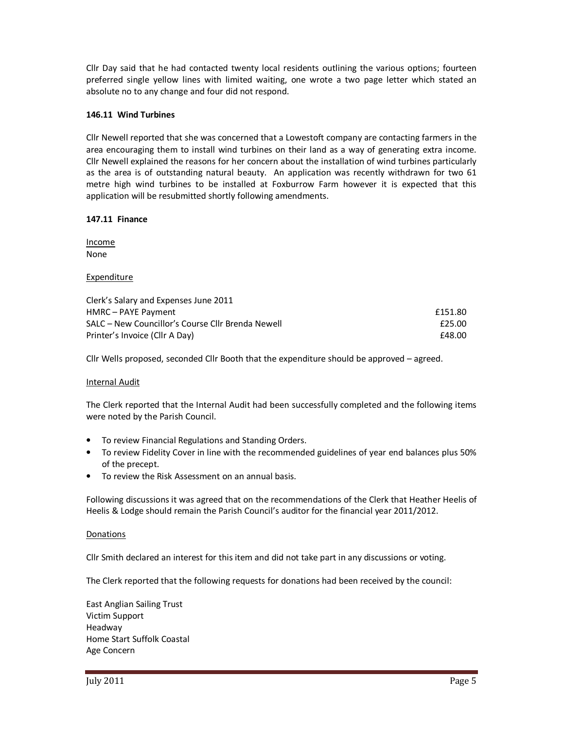Cllr Day said that he had contacted twenty local residents outlining the various options; fourteen preferred single yellow lines with limited waiting, one wrote a two page letter which stated an absolute no to any change and four did not respond.

### **146.11 Wind Turbines**

Cllr Newell reported that she was concerned that a Lowestoft company are contacting farmers in the area encouraging them to install wind turbines on their land as a way of generating extra income. Cllr Newell explained the reasons for her concern about the installation of wind turbines particularly as the area is of outstanding natural beauty. An application was recently withdrawn for two 61 metre high wind turbines to be installed at Foxburrow Farm however it is expected that this application will be resubmitted shortly following amendments.

### **147.11 Finance**

Income None

### **Expenditure**

| Clerk's Salary and Expenses June 2011             |         |
|---------------------------------------------------|---------|
| HMRC – PAYE Payment                               | £151.80 |
| SALC – New Councillor's Course Cllr Brenda Newell | £25.00  |
| Printer's Invoice (Cllr A Day)                    | £48.00  |

Cllr Wells proposed, seconded Cllr Booth that the expenditure should be approved – agreed.

### Internal Audit

The Clerk reported that the Internal Audit had been successfully completed and the following items were noted by the Parish Council.

- To review Financial Regulations and Standing Orders.
- To review Fidelity Cover in line with the recommended guidelines of year end balances plus 50% of the precept.
- To review the Risk Assessment on an annual basis.

Following discussions it was agreed that on the recommendations of the Clerk that Heather Heelis of Heelis & Lodge should remain the Parish Council's auditor for the financial year 2011/2012.

### Donations

Cllr Smith declared an interest for this item and did not take part in any discussions or voting.

The Clerk reported that the following requests for donations had been received by the council:

East Anglian Sailing Trust Victim Support Headway Home Start Suffolk Coastal Age Concern